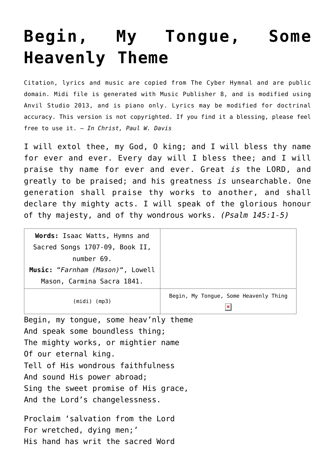## **[Begin, My Tongue, Some](http://reproachofmen.org/hymns-and-music/begin-tongue-heavenly-theme/) [Heavenly Theme](http://reproachofmen.org/hymns-and-music/begin-tongue-heavenly-theme/)**

Citation, lyrics and music are copied from [The Cyber Hymnal](http://www.hymntime.com/tch/) and are public domain. Midi file is generated with [Music Publisher 8](http://www.braeburn.co.uk/mp.htm), and is modified using [Anvil Studio 2013](http://www.anvilstudio.com/), and is piano only. Lyrics may be modified for doctrinal accuracy. This version is not copyrighted. If you find it a blessing, please feel free to use it. — *In Christ, Paul W. Davis*

I will extol thee, my God, O king; and I will bless thy name for ever and ever. Every day will I bless thee; and I will praise thy name for ever and ever. Great *is* the LORD, and greatly to be praised; and his greatness *is* unsearchable. One generation shall praise thy works to another, and shall declare thy mighty acts. I will speak of the glorious honour of thy majesty, and of thy wondrous works. *(Psalm 145:1-5)*

| Words: Isaac Watts, Hymns and    |                                       |
|----------------------------------|---------------------------------------|
| Sacred Songs 1707-09, Book II,   |                                       |
| number 69.                       |                                       |
| Music: "Farnham (Mason)", Lowell |                                       |
| Mason, Carmina Sacra 1841.       |                                       |
| $(midi)$ (mp3)                   | Begin, My Tongue, Some Heavenly Thing |

Begin, my tongue, some heav'nly theme And speak some boundless thing; The mighty works, or mightier name Of our eternal king. Tell of His wondrous faithfulness And sound His power abroad; Sing the sweet promise of His grace, And the Lord's changelessness.

Proclaim 'salvation from the Lord For wretched, dying men;' His hand has writ the sacred Word